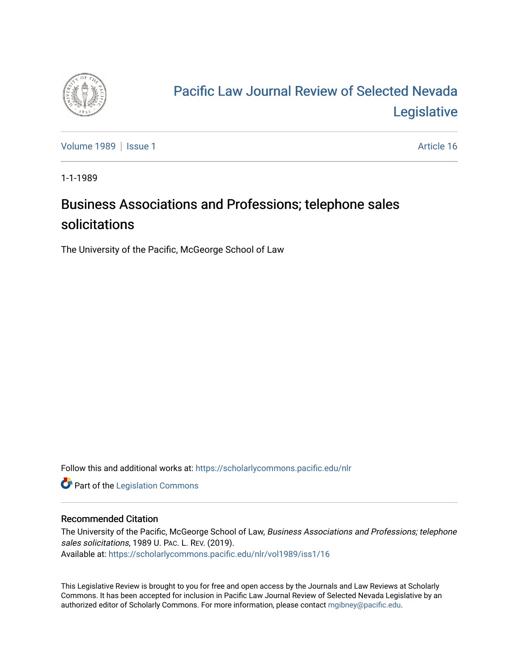

## [Pacific Law Journal Review of Selected Nevada](https://scholarlycommons.pacific.edu/nlr)  [Legislative](https://scholarlycommons.pacific.edu/nlr)

[Volume 1989](https://scholarlycommons.pacific.edu/nlr/vol1989) | [Issue 1](https://scholarlycommons.pacific.edu/nlr/vol1989/iss1) Article 16

1-1-1989

## Business Associations and Professions; telephone sales solicitations

The University of the Pacific, McGeorge School of Law

Follow this and additional works at: [https://scholarlycommons.pacific.edu/nlr](https://scholarlycommons.pacific.edu/nlr?utm_source=scholarlycommons.pacific.edu%2Fnlr%2Fvol1989%2Fiss1%2F16&utm_medium=PDF&utm_campaign=PDFCoverPages) 

**Part of the [Legislation Commons](http://network.bepress.com/hgg/discipline/859?utm_source=scholarlycommons.pacific.edu%2Fnlr%2Fvol1989%2Fiss1%2F16&utm_medium=PDF&utm_campaign=PDFCoverPages)** 

## Recommended Citation

The University of the Pacific, McGeorge School of Law, Business Associations and Professions; telephone sales solicitations, 1989 U. PAC. L. REV. (2019). Available at: [https://scholarlycommons.pacific.edu/nlr/vol1989/iss1/16](https://scholarlycommons.pacific.edu/nlr/vol1989/iss1/16?utm_source=scholarlycommons.pacific.edu%2Fnlr%2Fvol1989%2Fiss1%2F16&utm_medium=PDF&utm_campaign=PDFCoverPages)

This Legislative Review is brought to you for free and open access by the Journals and Law Reviews at Scholarly Commons. It has been accepted for inclusion in Pacific Law Journal Review of Selected Nevada Legislative by an authorized editor of Scholarly Commons. For more information, please contact [mgibney@pacific.edu](mailto:mgibney@pacific.edu).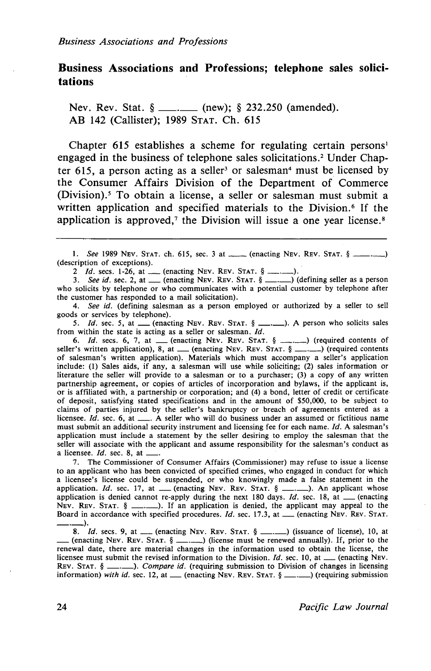## **Business Associations and Professions; telephone sales solicitations**

Nev. Rev. Stat.  $\S$  \_\_\_\_\_\_\_ (new);  $\S$  232.250 (amended). AB 142 (Callister); 1989 STAT. Ch. 615

Chapter 615 establishes a scheme for regulating certain persons<sup>1</sup> engaged in the business of telephone sales solicitations.<sup>2</sup> Under Chapter  $615$ , a person acting as a seller<sup>3</sup> or salesman<sup>4</sup> must be licensed by the Consumer Affairs Division of the Department of Commerce (Division).<sup>5</sup> To obtain a license, a seller or salesman must submit a written application and specified materials to the Division.<sup>6</sup> If the application is approved,<sup> $\tau$ </sup> the Division will issue a one year license.<sup>8</sup>

i within the state is acting as a seller or salesman. *Id.*<br>6. *Id.* secs. 6, 7, at <u>equired</u> contents of  $\frac{1}{2}$ . STAT.  $\frac{6}{2}$  equired contents of 6. *Id.* secs. 6, 7, at <u>(enacting NEV. REV. STAT. § (equired contents of</u><br>seller's written application), 8, at (enacting NEV. REV. STAT. § \_\_\_ )(required contents<br>of salesman's written application). Materials which must a include: (!) Sales aids, if any, a salesman will use while soliciting; (2) sales information or literature the seller will provide to a salesman or to a purchaser; (3) a copy of any written partnership agreement, or copies of articles of incorporation and bylaws, if the applicant is, or is affiliated with, a partnership or corporation; and (4) a bond, letter of credit or certificate· of deposit, satisfying stated specifications and in the amount of \$50,000, to be subject to claims of parties injured by the seller's bankruptcy or breach of agreements entered as a licensee.  $Id$ . sec. 6, at  $\_\_$ . A seller who will do business under an assumed or fictitious name must submit an additional security instrument and licensing fee for each name. *Id.* A salesman's application must include a statement by the seller desiring to employ the salesman that the seller will associate with the applicant and assume responsibility for the salesman's conduct as a licensee. *Id.* sec. 8, at  $\Box$ 

7. The Commissioner of Consumer Affairs (Commissioner) may refuse to issue a license to an applicant who has been convicted of specified crimes, who engaged in conduct for which a licensee's license could be suspended, or who knowingly made a false statement in the a licensee's license could be suspended, or who knowingly made a false statement in the application. *Id.* sec. 17, at \_\_\_ (enacting NEv. REV. STAT. § \_\_\_.\_\_). An applicant whose application is denied cannot re-apply durin NEV. REV. STAT.  $\S$  \_\_\_\_\_\_). If an application is denied, the applicant may appeal to the Board in accordance with specified procedures. *Id.* sec. 17.3, at \_\_\_ (enacting NEV. REV. STAT.

8. *Id.* secs. 9, at  $\Box$  (enacting NEV. REV. STAT. §  $\Box$ ) (issuance of license), 10, at \_(enacting NEV. REv. STAT. § \_\_\_ ) (license must be renewed annually). If, prior to the renewal date, there are material changes in the information used to obtain the license, the licensee must submit the revised information to the Division.  $Id$ , sec. 10, at  $\_\_\_\_\$  (enacting NEV. REv. STAT. § \_.\_). *Compare id.* (requiring submission to Division of changes in licensing information) *with id.* sec. 12, at  $\equiv$  (enacting NEV. REV. STAT. §  $\equiv$   $\equiv$  (requiring submission

<sup>1.</sup> *See* 1989 Nev. Stat. ch. 615, sec. 3 at \_\_\_(enacting Nev. Rev. Stat. § \_\_\_\_\_\_) (description of exceptions).

inption of exceptions).<br>2 *Id.* secs. 1-26, at <u>equal</u> (enacting NEV. REV. STAT.  $\S$  equals.

<sup>2</sup> *Id.* secs. 1-26, at \_\_\_\_ (enacting NEv. REV. STAT. § \_\_\_\_\_\_\_).<br>3. See id. sec. 2, at \_\_\_ (enacting NEv. REv. STAT. § \_\_\_\_\_) (defining seller as a person who solicits by telephone or who communicates with a potential customer by telephone after the customer has responded to a mail solicitation).

<sup>4.</sup> *See id.* (defining salesman as a person employed or authorized by a seller to sell goods or services by telephone).

<sup>5.</sup> *Id.* sec. 5, at \_\_ (enacting NEV. REV. STAT. § \_\_\_\_\_\_). A person who solicits sales from within the state is acting as a seller or salesman. *Id.*